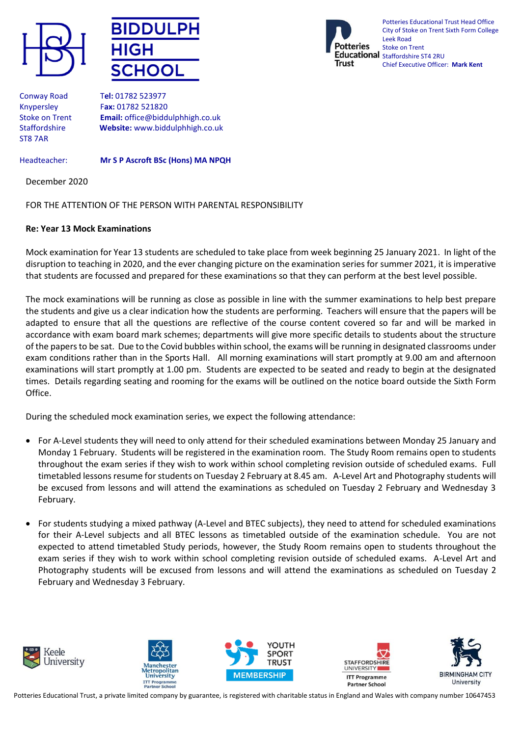





Potteries Educational Trust Head Office City of Stoke on Trent Sixth Form College Leek Road Stoke on Trent Educational Staffordshire ST4 2RU Chief Executive Officer: **Mark Kent**

Conway Road T**el:** 01782 523977 ST8 7AR

Knypersley F**ax:** 01782 521820 Stoke on Trent **Email:** office@biddulphhigh.co.uk Staffordshire **Website:** www.biddulphhigh.co.uk

## Headteacher: **Mr S P Ascroft BSc (Hons) MA NPQH**

December 2020

## FOR THE ATTENTION OF THE PERSON WITH PARENTAL RESPONSIBILITY

## **Re: Year 13 Mock Examinations**

Mock examination for Year 13 students are scheduled to take place from week beginning 25 January 2021. In light of the disruption to teaching in 2020, and the ever changing picture on the examination series for summer 2021, it is imperative that students are focussed and prepared for these examinations so that they can perform at the best level possible.

The mock examinations will be running as close as possible in line with the summer examinations to help best prepare the students and give us a clear indication how the students are performing. Teachers will ensure that the papers will be adapted to ensure that all the questions are reflective of the course content covered so far and will be marked in accordance with exam board mark schemes; departments will give more specific details to students about the structure of the papers to be sat. Due to the Covid bubbles within school, the exams will be running in designated classrooms under exam conditions rather than in the Sports Hall. All morning examinations will start promptly at 9.00 am and afternoon examinations will start promptly at 1.00 pm. Students are expected to be seated and ready to begin at the designated times. Details regarding seating and rooming for the exams will be outlined on the notice board outside the Sixth Form Office.

During the scheduled mock examination series, we expect the following attendance:

- For A-Level students they will need to only attend for their scheduled examinations between Monday 25 January and Monday 1 February. Students will be registered in the examination room. The Study Room remains open to students throughout the exam series if they wish to work within school completing revision outside of scheduled exams. Full timetabled lessons resume for students on Tuesday 2 February at 8.45 am. A-Level Art and Photography students will be excused from lessons and will attend the examinations as scheduled on Tuesday 2 February and Wednesday 3 February.
- For students studying a mixed pathway (A-Level and BTEC subjects), they need to attend for scheduled examinations for their A-Level subjects and all BTEC lessons as timetabled outside of the examination schedule. You are not expected to attend timetabled Study periods, however, the Study Room remains open to students throughout the exam series if they wish to work within school completing revision outside of scheduled exams. A-Level Art and Photography students will be excused from lessons and will attend the examinations as scheduled on Tuesday 2 February and Wednesday 3 February.











Potteries Educational Trust, a private limited company by guarantee, is registered with charitable status in England and Wales with company number 10647453